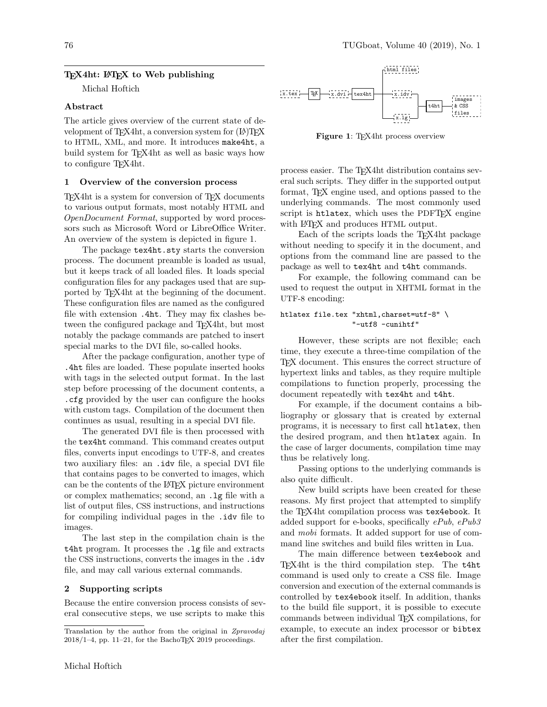#### T<sub>F</sub>X4ht: L<sup>AT</sup>F<sub>K</sub> to Web publishing

Michal Hoftich

#### Abstract

The article gives overview of the current state of development of T<sub>F</sub>X4ht, a conversion system for  $(E)$ T<sub>F</sub>X to HTML, XML, and more. It introduces make4ht, a build system for T<sub>E</sub>X4ht as well as basic ways how to configure TEX4ht.

### 1 Overview of the conversion process

TEX4ht is a system for conversion of TEX documents to various output formats, most notably HTML and OpenDocument Format, supported by word processors such as Microsoft Word or LibreOffice Writer. An overview of the system is depicted in figure 1.

The package tex4ht.sty starts the conversion process. The document preamble is loaded as usual, but it keeps track of all loaded files. It loads special configuration files for any packages used that are supported by TEX4ht at the beginning of the document. These configuration files are named as the configured file with extension .4ht. They may fix clashes between the configured package and T<sub>E</sub>X4ht, but most notably the package commands are patched to insert special marks to the DVI file, so-called hooks.

After the package configuration, another type of .4ht files are loaded. These populate inserted hooks with tags in the selected output format. In the last step before processing of the document contents, a .cfg provided by the user can configure the hooks with custom tags. Compilation of the document then continues as usual, resulting in a special DVI file.

The generated DVI file is then processed with the tex4ht command. This command creates output files, converts input encodings to UTF-8, and creates two auxiliary files: an .idv file, a special DVI file that contains pages to be converted to images, which can be the contents of the LATEX picture environment or complex mathematics; second, an .lg file with a list of output files, CSS instructions, and instructions for compiling individual pages in the .idv file to images.

The last step in the compilation chain is the t4ht program. It processes the .lg file and extracts the CSS instructions, converts the images in the .idv file, and may call various external commands.

#### 2 Supporting scripts

Because the entire conversion process consists of several consecutive steps, we use scripts to make this



Figure 1: TEX4ht process overview

process easier. The TEX4ht distribution contains several such scripts. They differ in the supported output format, TEX engine used, and options passed to the underlying commands. The most commonly used script is htlatex, which uses the PDFT<sub>FX</sub> engine with LAT<sub>EX</sub> and produces HTML output.

Each of the scripts loads the TEX4ht package without needing to specify it in the document, and options from the command line are passed to the package as well to tex4ht and t4ht commands.

For example, the following command can be used to request the output in XHTML format in the UTF-8 encoding:

#### htlatex file.tex "xhtml,charset=utf-8" \ "-utf8 -cunihtf"

However, these scripts are not flexible; each time, they execute a three-time compilation of the TEX document. This ensures the correct structure of hypertext links and tables, as they require multiple compilations to function properly, processing the document repeatedly with tex4ht and t4ht.

For example, if the document contains a bibliography or glossary that is created by external programs, it is necessary to first call htlatex, then the desired program, and then htlatex again. In the case of larger documents, compilation time may thus be relatively long.

Passing options to the underlying commands is also quite difficult.

New build scripts have been created for these reasons. My first project that attempted to simplify the T<sub>E</sub>X4ht compilation process was tex4ebook. It added support for e-books, specifically  $ePub, ePub3$ and mobi formats. It added support for use of command line switches and build files written in Lua.

The main difference between tex4ebook and TEX4ht is the third compilation step. The t4ht command is used only to create a CSS file. Image conversion and execution of the external commands is controlled by tex4ebook itself. In addition, thanks to the build file support, it is possible to execute commands between individual TEX compilations, for example, to execute an index processor or bibtex after the first compilation.

Translation by the author from the original in Zpravodaj  $2018/1-4$ , pp. 11–21, for the BachoT<sub>E</sub>X 2019 proceedings.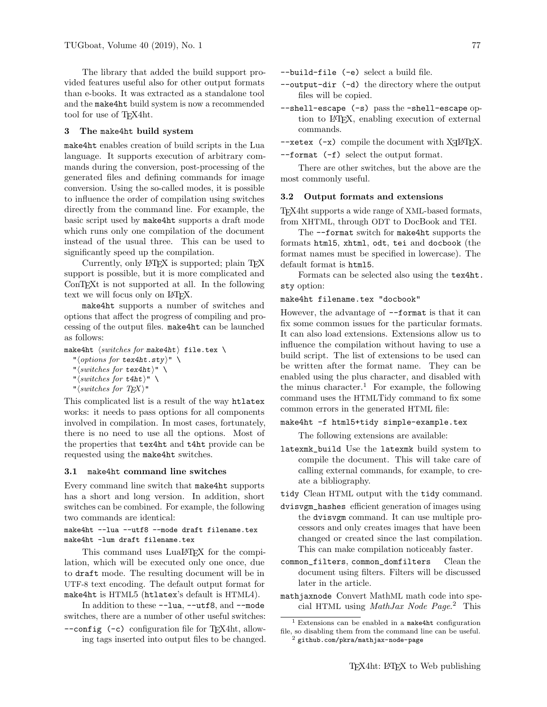The library that added the build support provided features useful also for other output formats than e-books. It was extracted as a standalone tool and the make4ht build system is now a recommended tool for use of TEX4ht.

#### 3 The make4ht build system

make4ht enables creation of build scripts in the Lua language. It supports execution of arbitrary commands during the conversion, post-processing of the generated files and defining commands for image conversion. Using the so-called modes, it is possible to influence the order of compilation using switches directly from the command line. For example, the basic script used by make4ht supports a draft mode which runs only one compilation of the document instead of the usual three. This can be used to significantly speed up the compilation.

Currently, only LATEX is supported; plain TEX support is possible, but it is more complicated and ConTEXt is not supported at all. In the following text we will focus only on L<sup>AT</sup>FX.

make4ht supports a number of switches and options that affect the progress of compiling and processing of the output files. make4ht can be launched as follows:

make4ht  $\langle switches\ for\ make4ht\rangle$  file.tex \

" $\langle options for \text{tex}4ht. \text{sty}\rangle$ " \

- " $\langle \textit{switches for text4ht} \rangle$ "
- " $\langle \textit{switches for t4ht} \rangle" \ \ \ \ \$
- "  $\langle \textit{switches for TEX} \rangle$ "

This complicated list is a result of the way htlatex works: it needs to pass options for all components involved in compilation. In most cases, fortunately, there is no need to use all the options. Most of the properties that tex4ht and t4ht provide can be requested using the make4ht switches.

#### 3.1 make4ht command line switches

Every command line switch that make4ht supports has a short and long version. In addition, short switches can be combined. For example, the following two commands are identical:

# make4ht --lua --utf8 --mode draft filename.tex make4ht -lum draft filename.tex

This command uses LuaL<sup>AT</sup>EX for the compilation, which will be executed only one once, due to draft mode. The resulting document will be in UTF-8 text encoding. The default output format for make4ht is HTML5 (htlatex's default is HTML4).

In addition to these --lua, --utf8, and --mode switches, there are a number of other useful switches:

--config (-c) configuration file for TEX4ht, allowing tags inserted into output files to be changed. --build-file (-e) select a build file.

- --output-dir (-d) the directory where the output files will be copied.
- --shell-escape (-s) pass the -shell-escape option to LATEX, enabling execution of external commands.
- $--xetex$   $(-x)$  compile the document with X $\frac{1}{4}$ ET<sub>E</sub>X.

--format (-f) select the output format.

There are other switches, but the above are the most commonly useful.

### 3.2 Output formats and extensions

TEX4ht supports a wide range of XML-based formats, from XHTML, through ODT to DocBook and TEI.

The --format switch for make4ht supports the formats html5, xhtml, odt, tei and docbook (the format names must be specified in lowercase). The default format is html5.

Formats can be selected also using the tex4ht. sty option:

#### make4ht filename.tex "docbook"

However, the advantage of  $-$ format is that it can fix some common issues for the particular formats. It can also load extensions. Extensions allow us to influence the compilation without having to use a build script. The list of extensions to be used can be written after the format name. They can be enabled using the plus character, and disabled with the minus character.<sup>1</sup> For example, the following command uses the HTMLTidy command to fix some common errors in the generated HTML file:

# make4ht -f html5+tidy simple-example.tex

The following extensions are available:

latexmk\_build Use the latexmk build system to compile the document. This will take care of calling external commands, for example, to create a bibliography.

tidy Clean HTML output with the tidy command.

- dvisvgm\_hashes efficient generation of images using the dvisvgm command. It can use multiple processors and only creates images that have been changed or created since the last compilation. This can make compilation noticeably faster.
- common\_filters, common\_domfilters Clean the document using filters. Filters will be discussed later in the article.
- mathjaxnode Convert MathML math code into special HTML using MathJax Node Page. <sup>2</sup> This

<sup>1</sup> Extensions can be enabled in a make4ht configuration file, so disabling them from the command line can be useful.

 $^2$  github.com/pkra/mathjax-node-page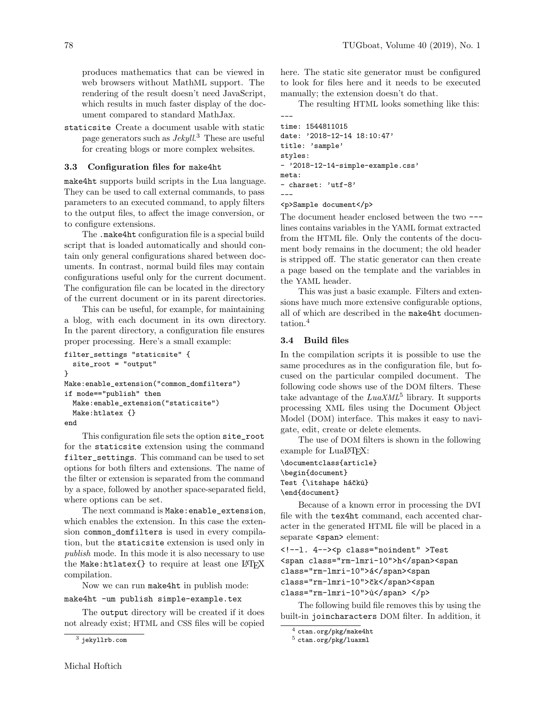produces mathematics that can be viewed in web browsers without MathML support. The rendering of the result doesn't need JavaScript, which results in much faster display of the document compared to standard MathJax.

staticsite Create a document usable with static page generators such as  $Jekyll$ <sup>3</sup> These are useful for creating blogs or more complex websites.

# 3.3 Configuration files for make4ht

make4ht supports build scripts in the Lua language. They can be used to call external commands, to pass parameters to an executed command, to apply filters to the output files, to affect the image conversion, or to configure extensions.

The .make4ht configuration file is a special build script that is loaded automatically and should contain only general configurations shared between documents. In contrast, normal build files may contain configurations useful only for the current document. The configuration file can be located in the directory of the current document or in its parent directories.

This can be useful, for example, for maintaining a blog, with each document in its own directory. In the parent directory, a configuration file ensures proper processing. Here's a small example:

```
filter_settings "staticsite" {
 site_root = "output"
}
Make:enable_extension("common_domfilters")
if mode=="publish" then
 Make:enable_extension("staticsite")
 Make:htlatex {}
end
```
This configuration file sets the option site\_root for the staticsite extension using the command filter\_settings. This command can be used to set options for both filters and extensions. The name of the filter or extension is separated from the command by a space, followed by another space-separated field, where options can be set.

The next command is Make:enable\_extension, which enables the extension. In this case the extension common\_domfilters is used in every compilation, but the staticsite extension is used only in publish mode. In this mode it is also necessary to use the Make:htlatex{} to require at least one LATEX compilation.

Now we can run make4ht in publish mode:

make4ht -um publish simple-example.tex

The output directory will be created if it does not already exist; HTML and CSS files will be copied

here. The static site generator must be configured to look for files here and it needs to be executed manually; the extension doesn't do that.

The resulting HTML looks something like this:

```
time: 1544811015
date: '2018-12-14 18:10:47'
title: 'sample'
styles:
- '2018-12-14-simple-example.css'
meta:
- charset: 'utf-8'
---
```
#### <p>Sample document</p>

---

The document header enclosed between the two -- lines contains variables in the YAML format extracted from the HTML file. Only the contents of the document body remains in the document; the old header is stripped off. The static generator can then create a page based on the template and the variables in the YAML header.

This was just a basic example. Filters and extensions have much more extensive configurable options, all of which are described in the make4ht documentation.<sup>4</sup>

#### 3.4 Build files

In the compilation scripts it is possible to use the same procedures as in the configuration file, but focused on the particular compiled document. The following code shows use of the DOM filters. These take advantage of the  $LuaXML<sup>5</sup>$  library. It supports processing XML files using the Document Object Model (DOM) interface. This makes it easy to navigate, edit, create or delete elements.

The use of DOM filters is shown in the following example for LuaL<sup>AT</sup>EX:

```
\documentclass{article}
\begin{document}
Test {\itshape háčků}
\end{document}
```
Because of a known error in processing the DVI file with the tex4ht command, each accented character in the generated HTML file will be placed in a separate <span> element:

```
<!--l. 4--><p class="noindent" >Test
<span class="rm-lmri-10">h</span><span
class="rm-lmri-10">á</span><span
class="rm-lmri-10">ˇck</span><span
class="rm-lmri-10">ů</span> </p>
```
The following build file removes this by using the built-in joincharacters DOM filter. In addition, it

<sup>3</sup> jekyllrb.com

 $4$  ctan.org/pkg/make4ht

<sup>5</sup> ctan.org/pkg/luaxml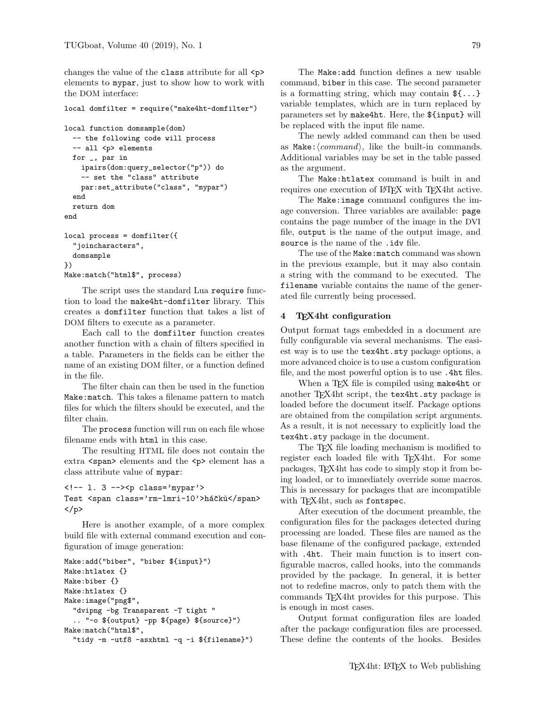changes the value of the class attribute for all <p> elements to mypar, just to show how to work with the DOM interface:

```
local domfilter = require("make4ht-domfilter")
```

```
local function domsample(dom)
  -- the following code will process
  -- all <p> elements
 for _, par in
    ipairs(dom:query_selector("p")) do
    -- set the "class" attribute
   par:set_attribute("class", "mypar")
  end
 return dom
end
local process = domfilter({
  "joincharacters",
 domsample
})
Make:match("html$", process)
```
The script uses the standard Lua require function to load the make4ht-domfilter library. This creates a domfilter function that takes a list of DOM filters to execute as a parameter.

Each call to the domfilter function creates another function with a chain of filters specified in a table. Parameters in the fields can be either the name of an existing DOM filter, or a function defined in the file.

The filter chain can then be used in the function Make:match. This takes a filename pattern to match files for which the filters should be executed, and the filter chain.

The process function will run on each file whose filename ends with html in this case.

The resulting HTML file does not contain the extra <span> elements and the <p> element has a class attribute value of mypar:

```
<!-- l. 3 --><p class='mypar'>
Test <span class='rm-lmri-10'>háčků</span>
</p>
```
Here is another example, of a more complex build file with external command execution and configuration of image generation:

```
Make:add("biber", "biber ${input}")
Make:htlatex {}
Make:biber {}
Make:htlatex {}
Make:image("png$",
  "dvipng -bg Transparent -T tight "
  .. "-o ${output} -pp ${page} ${source}")
Make:match("html$",
  "tidy -m -utf8 -asxhtml -q -i ${filename}")
```
The Make:add function defines a new usable command, biber in this case. The second parameter is a formatting string, which may contain  $\mathcal{F} \{ \ldots \}$ variable templates, which are in turn replaced by parameters set by make4ht. Here, the \${input} will be replaced with the input file name.

The newly added command can then be used as Make: $\langle command \rangle$ , like the built-in commands. Additional variables may be set in the table passed as the argument.

The Make:htlatex command is built in and requires one execution of LAT<sub>EX</sub> with T<sub>EX4</sub>ht active.

The Make:image command configures the image conversion. Three variables are available: page contains the page number of the image in the DVI file, output is the name of the output image, and source is the name of the .idy file.

The use of the Make:match command was shown in the previous example, but it may also contain a string with the command to be executed. The filename variable contains the name of the generated file currently being processed.

# 4 TEX4ht configuration

Output format tags embedded in a document are fully configurable via several mechanisms. The easiest way is to use the tex4ht.sty package options, a more advanced choice is to use a custom configuration file, and the most powerful option is to use .4ht files.

When a T<sub>E</sub>X file is compiled using make4ht or another TEX4ht script, the tex4ht.sty package is loaded before the document itself. Package options are obtained from the compilation script arguments. As a result, it is not necessary to explicitly load the tex4ht.sty package in the document.

The T<sub>EX</sub> file loading mechanism is modified to register each loaded file with T<sub>E</sub>X4ht. For some packages, TEX4ht has code to simply stop it from being loaded, or to immediately override some macros. This is necessary for packages that are incompatible with T<sub>E</sub>X4ht, such as fontspec.

After execution of the document preamble, the configuration files for the packages detected during processing are loaded. These files are named as the base filename of the configured package, extended with .4ht. Their main function is to insert configurable macros, called hooks, into the commands provided by the package. In general, it is better not to redefine macros, only to patch them with the commands TEX4ht provides for this purpose. This is enough in most cases.

Output format configuration files are loaded after the package configuration files are processed. These define the contents of the hooks. Besides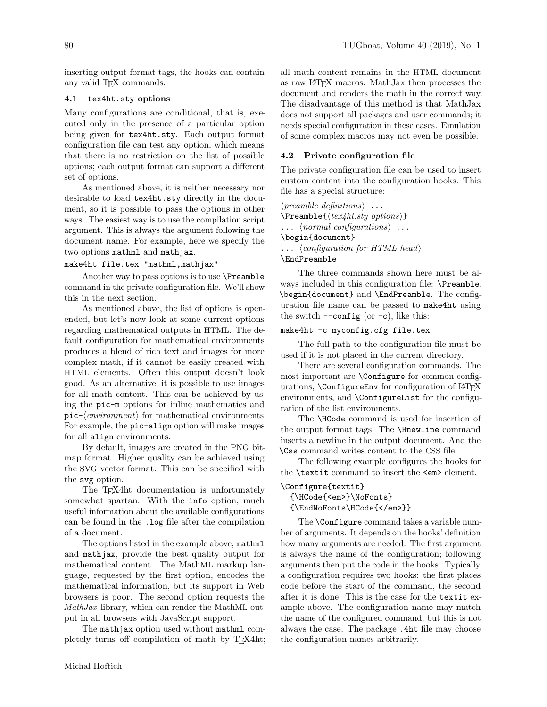inserting output format tags, the hooks can contain any valid TEX commands.

#### 4.1 tex4ht.sty options

Many configurations are conditional, that is, executed only in the presence of a particular option being given for tex4ht.sty. Each output format configuration file can test any option, which means that there is no restriction on the list of possible options; each output format can support a different set of options.

As mentioned above, it is neither necessary nor desirable to load tex4ht.sty directly in the document, so it is possible to pass the options in other ways. The easiest way is to use the compilation script argument. This is always the argument following the document name. For example, here we specify the two options mathml and mathjax.

#### make4ht file.tex "mathml,mathjax"

Another way to pass options is to use \Preamble command in the private configuration file. We'll show this in the next section.

As mentioned above, the list of options is openended, but let's now look at some current options regarding mathematical outputs in HTML. The default configuration for mathematical environments produces a blend of rich text and images for more complex math, if it cannot be easily created with HTML elements. Often this output doesn't look good. As an alternative, it is possible to use images for all math content. This can be achieved by using the pic-m options for inline mathematics and pic- $\langle environment \rangle$  for mathematical environments. For example, the pic-align option will make images for all align environments.

By default, images are created in the PNG bitmap format. Higher quality can be achieved using the SVG vector format. This can be specified with the svg option.

The TEX4ht documentation is unfortunately somewhat spartan. With the info option, much useful information about the available configurations can be found in the .log file after the compilation of a document.

The options listed in the example above, mathml and mathjax, provide the best quality output for mathematical content. The MathML markup language, requested by the first option, encodes the mathematical information, but its support in Web browsers is poor. The second option requests the MathJax library, which can render the MathML output in all browsers with JavaScript support.

The mathjax option used without mathml completely turns off compilation of math by TEX4ht;

all math content remains in the HTML document as raw LATEX macros. MathJax then processes the document and renders the math in the correct way. The disadvantage of this method is that MathJax does not support all packages and user commands; it needs special configuration in these cases. Emulation of some complex macros may not even be possible.

### 4.2 Private configuration file

The private configuration file can be used to insert custom content into the configuration hooks. This file has a special structure:

 $\langle \text{p}$  reamble definitions  $\rangle$ ...  $\text{Preamble}\{\textit{text}_t\textit{.sty options}\}$  $\ldots$  (normal configurations). \begin{document}  $\ldots \; \langle \text{configuration for HTML head} \rangle$ \EndPreamble

The three commands shown here must be always included in this configuration file: \Preamble, \begin{document} and \EndPreamble. The configuration file name can be passed to make4ht using the switch  $--\text{config}$  (or  $-c$ ), like this:

### make4ht -c myconfig.cfg file.tex

The full path to the configuration file must be used if it is not placed in the current directory.

There are several configuration commands. The most important are \Configure for common configurations, **\ConfigureEnv** for configuration of LAT<sub>E</sub>X environments, and \ConfigureList for the configuration of the list environments.

The \HCode command is used for insertion of the output format tags. The \Hnewline command inserts a newline in the output document. And the \Css command writes content to the CSS file.

The following example configures the hooks for the \textit command to insert the <em> element.

\Configure{textit}

{\HCode{<em>}\NoFonts}

{\EndNoFonts\HCode{</em>}}

The **\Configure** command takes a variable number of arguments. It depends on the hooks' definition how many arguments are needed. The first argument is always the name of the configuration; following arguments then put the code in the hooks. Typically, a configuration requires two hooks: the first places code before the start of the command, the second after it is done. This is the case for the textit example above. The configuration name may match the name of the configured command, but this is not always the case. The package .4ht file may choose the configuration names arbitrarily.